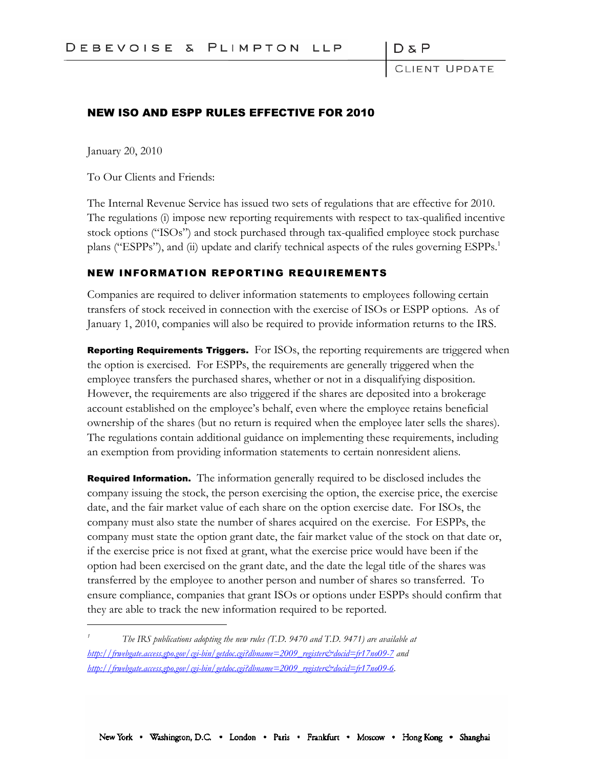DδF

LIENT UPDATE

## NEW ISO AND ESPP RULES EFFECTIVE FOR 2010

January 20, 2010

To Our Clients and Friends:

The Internal Revenue Service has issued two sets of regulations that are effective for 2010. The regulations (i) impose new reporting requirements with respect to tax-qualified incentive stock options ("ISOs") and stock purchased through tax-qualified employee stock purchase plans ("ESPPs"), and (ii) update and clarify technical aspects of the rules governing ESPPs.<sup>1</sup>

## NEW INFORMATION REPORTING REQUIREMENTS

Companies are required to deliver information statements to employees following certain transfers of stock received in connection with the exercise of ISOs or ESPP options. As of January 1, 2010, companies will also be required to provide information returns to the IRS.

**Reporting Requirements Triggers.** For ISOs, the reporting requirements are triggered when the option is exercised. For ESPPs, the requirements are generally triggered when the employee transfers the purchased shares, whether or not in a disqualifying disposition. However, the requirements are also triggered if the shares are deposited into a brokerage account established on the employee's behalf, even where the employee retains beneficial ownership of the shares (but no return is required when the employee later sells the shares). The regulations contain additional guidance on implementing these requirements, including an exemption from providing information statements to certain nonresident aliens.

Required Information. The information generally required to be disclosed includes the company issuing the stock, the person exercising the option, the exercise price, the exercise date, and the fair market value of each share on the option exercise date. For ISOs, the company must also state the number of shares acquired on the exercise. For ESPPs, the company must state the option grant date, the fair market value of the stock on that date or, if the exercise price is not fixed at grant, what the exercise price would have been if the option had been exercised on the grant date, and the date the legal title of the shares was transferred by the employee to another person and number of shares so transferred. To ensure compliance, companies that grant ISOs or options under ESPPs should confirm that they are able to track the new information required to be reported.

*<sup>1</sup> The IRS publications adopting the new rules (T.D. 9470 and T.D. 9471) are available at http://frwebgate.access.gpo.gov/cgi-bin/getdoc.cgi?dbname=2009\_register&docid=fr17no09-7 and http://frwebgate.access.gpo.gov/cgi-bin/getdoc.cgi?dbname=2009\_register&docid=fr17no09-6.*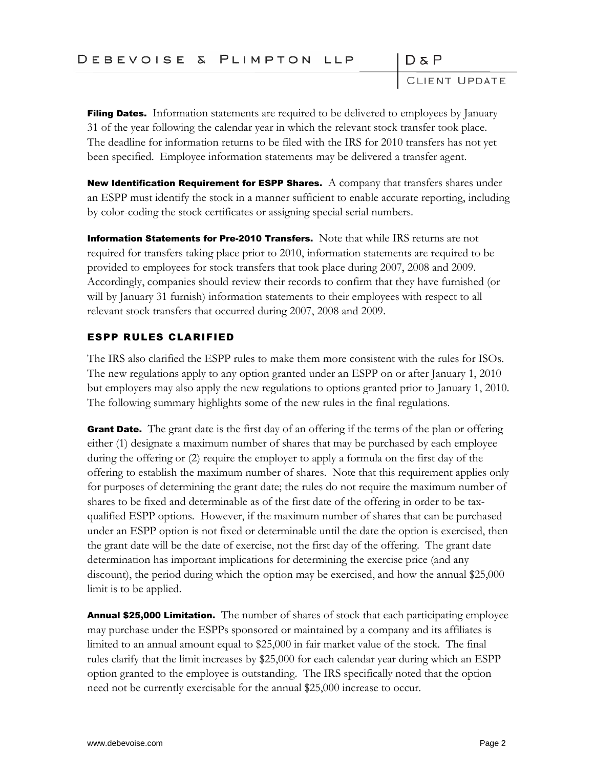CLIENT UPDATE

 $D \& P$ 

**Filing Dates.** Information statements are required to be delivered to employees by January 31 of the year following the calendar year in which the relevant stock transfer took place. The deadline for information returns to be filed with the IRS for 2010 transfers has not yet been specified. Employee information statements may be delivered a transfer agent.

**New Identification Requirement for ESPP Shares.** A company that transfers shares under an ESPP must identify the stock in a manner sufficient to enable accurate reporting, including by color-coding the stock certificates or assigning special serial numbers.

**Information Statements for Pre-2010 Transfers.** Note that while IRS returns are not required for transfers taking place prior to 2010, information statements are required to be provided to employees for stock transfers that took place during 2007, 2008 and 2009. Accordingly, companies should review their records to confirm that they have furnished (or will by January 31 furnish) information statements to their employees with respect to all relevant stock transfers that occurred during 2007, 2008 and 2009.

## ESPP RULES CLARIFIED

The IRS also clarified the ESPP rules to make them more consistent with the rules for ISOs. The new regulations apply to any option granted under an ESPP on or after January 1, 2010 but employers may also apply the new regulations to options granted prior to January 1, 2010. The following summary highlights some of the new rules in the final regulations.

**Grant Date.** The grant date is the first day of an offering if the terms of the plan or offering either (1) designate a maximum number of shares that may be purchased by each employee during the offering or (2) require the employer to apply a formula on the first day of the offering to establish the maximum number of shares. Note that this requirement applies only for purposes of determining the grant date; the rules do not require the maximum number of shares to be fixed and determinable as of the first date of the offering in order to be taxqualified ESPP options. However, if the maximum number of shares that can be purchased under an ESPP option is not fixed or determinable until the date the option is exercised, then the grant date will be the date of exercise, not the first day of the offering. The grant date determination has important implications for determining the exercise price (and any discount), the period during which the option may be exercised, and how the annual \$25,000 limit is to be applied.

**Annual \$25,000 Limitation.** The number of shares of stock that each participating employee may purchase under the ESPPs sponsored or maintained by a company and its affiliates is limited to an annual amount equal to \$25,000 in fair market value of the stock. The final rules clarify that the limit increases by \$25,000 for each calendar year during which an ESPP option granted to the employee is outstanding. The IRS specifically noted that the option need not be currently exercisable for the annual \$25,000 increase to occur.